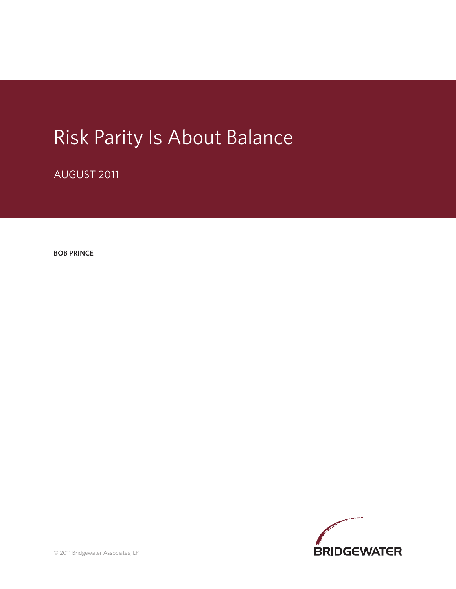# Risk Parity Is About Balance

AUGUST 2011

**BOB PRINCE**

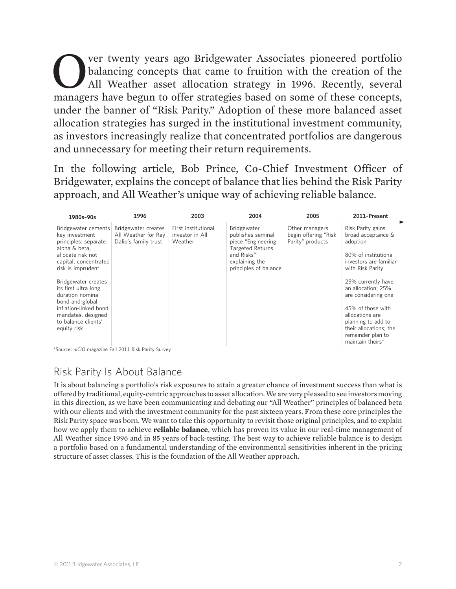Over twenty years ago Bridgewater Associates pioneered portfolio<br>balancing concepts that came to fruition with the creation of the<br>HI Weather asset allocation strategy in 1996. Recently, several<br>managers have begun to offe balancing concepts that came to fruition with the creation of the All Weather asset allocation strategy in 1996. Recently, several managers have begun to offer strategies based on some of these concepts, under the banner of "Risk Parity." Adoption of these more balanced asset allocation strategies has surged in the institutional investment community, as investors increasingly realize that concentrated portfolios are dangerous and unnecessary for meeting their return requirements.

In the following article, Bob Prince, Co-Chief Investment Officer of Bridgewater, explains the concept of balance that lies behind the Risk Parity approach, and All Weather's unique way of achieving reliable balance.

| 1980s-90s                                                                                                                                         | 1996                                                               | 2003                                              | 2004                                                                                                                                       | 2005                                                       | 2011-Present                                                                                                              |
|---------------------------------------------------------------------------------------------------------------------------------------------------|--------------------------------------------------------------------|---------------------------------------------------|--------------------------------------------------------------------------------------------------------------------------------------------|------------------------------------------------------------|---------------------------------------------------------------------------------------------------------------------------|
| Bridgewater cements<br>key investment<br>principles: separate<br>alpha & beta,<br>allocate risk not<br>capital, concentrated<br>risk is imprudent | Bridgewater creates<br>All Weather for Ray<br>Dalio's family trust | First institutional<br>investor in All<br>Weather | Bridgewater<br>publishes seminal<br>piece "Engineering<br><b>Targeted Returns</b><br>and Risks"<br>explaining the<br>principles of balance | Other managers<br>begin offering "Risk<br>Parity" products | Risk Parity gains<br>broad acceptance &<br>adoption<br>80% of institutional<br>investors are familiar<br>with Risk Parity |
| Bridgewater creates<br>its first ultra long<br>duration nominal<br>bond and global<br>inflation-linked bond<br>mandates, designed                 |                                                                    |                                                   |                                                                                                                                            |                                                            | 25% currently have<br>an allocation; 25%<br>are considering one<br>45% of those with<br>allocations are                   |
| to balance clients'<br>equity risk                                                                                                                |                                                                    |                                                   |                                                                                                                                            |                                                            | planning to add to<br>their allocations; the<br>remainder plan to<br>maintain theirs*                                     |

\*Source: *aiCIO* magazine Fall 2011 Risk Parity Survey

## Risk Parity Is About Balance

It is about balancing a portfolio's risk exposures to attain a greater chance of investment success than what is offered by traditional, equity-centric approaches to asset allocation. We are very pleased to see investors moving in this direction, as we have been communicating and debating our "All Weather" principles of balanced beta with our clients and with the investment community for the past sixteen years. From these core principles the Risk Parity space was born. We want to take this opportunity to revisit those original principles, and to explain how we apply them to achieve **reliable balance**, which has proven its value in our real-time management of All Weather since 1996 and in 85 years of back-testing. The best way to achieve reliable balance is to design a portfolio based on a fundamental understanding of the environmental sensitivities inherent in the pricing structure of asset classes. This is the foundation of the All Weather approach.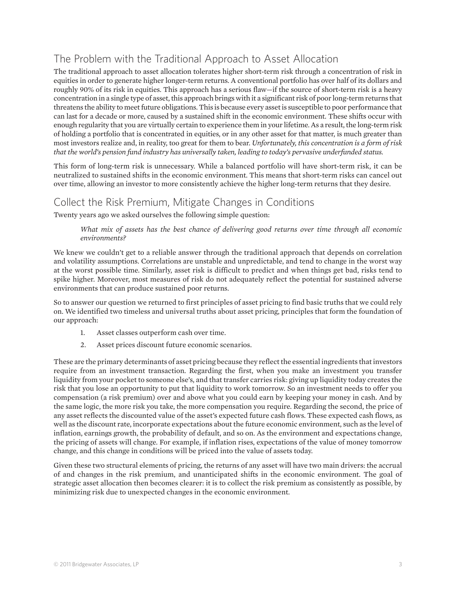## The Problem with the Traditional Approach to Asset Allocation

The traditional approach to asset allocation tolerates higher short-term risk through a concentration of risk in equities in order to generate higher longer-term returns. A conventional portfolio has over half of its dollars and roughly 90% of its risk in equities. This approach has a serious flaw—if the source of short-term risk is a heavy concentration in a single type of asset, this approach brings with it a significant risk of poor long-term returns that threatens the ability to meet future obligations. This is because every asset is susceptible to poor performance that can last for a decade or more, caused by a sustained shift in the economic environment. These shifts occur with enough regularity that you are virtually certain to experience them in your lifetime. As a result, the long-term risk of holding a portfolio that is concentrated in equities, or in any other asset for that matter, is much greater than most investors realize and, in reality, too great for them to bear. *Unfortunately' this concentration is a form of risk that the world's pension fund industry has universally taken' leading to today's pervasive underfunded status.*

This form of long-term risk is unnecessary. While a balanced portfolio will have short-term risk, it can be neutralized to sustained shifts in the economic environment. This means that short-term risks can cancel out over time, allowing an investor to more consistently achieve the higher long-term returns that they desire.

#### Collect the Risk Premium, Mitigate Changes in Conditions

Twenty years ago we asked ourselves the following simple question:

 *What mix of assets has the best chance of delivering good returns over time through all economic environments?*

We knew we couldn't get to a reliable answer through the traditional approach that depends on correlation and volatility assumptions. Correlations are unstable and unpredictable, and tend to change in the worst way at the worst possible time. Similarly, asset risk is difficult to predict and when things get bad, risks tend to spike higher. Moreover, most measures of risk do not adequately reflect the potential for sustained adverse environments that can produce sustained poor returns.

So to answer our question we returned to first principles of asset pricing to find basic truths that we could rely on. We identified two timeless and universal truths about asset pricing, principles that form the foundation of our approach:

- 1. Asset classes outperform cash over time.
- 2. Asset prices discount future economic scenarios.

These are the primary determinants of asset pricing because they reflect the essential ingredients that investors require from an investment transaction. Regarding the first, when you make an investment you transfer liquidity from your pocket to someone else's, and that transfer carries risk: giving up liquidity today creates the risk that you lose an opportunity to put that liquidity to work tomorrow. So an investment needs to offer you compensation (a risk premium) over and above what you could earn by keeping your money in cash. And by the same logic, the more risk you take, the more compensation you require. Regarding the second, the price of any asset reflects the discounted value of the asset's expected future cash flows. These expected cash flows, as well as the discount rate, incorporate expectations about the future economic environment, such as the level of inflation, earnings growth, the probability of default, and so on. As the environment and expectations change, the pricing of assets will change. For example, if inflation rises, expectations of the value of money tomorrow change, and this change in conditions will be priced into the value of assets today.

Given these two structural elements of pricing, the returns of any asset will have two main drivers: the accrual of and changes in the risk premium, and unanticipated shifts in the economic environment. The goal of strategic asset allocation then becomes clearer: it is to collect the risk premium as consistently as possible, by minimizing risk due to unexpected changes in the economic environment.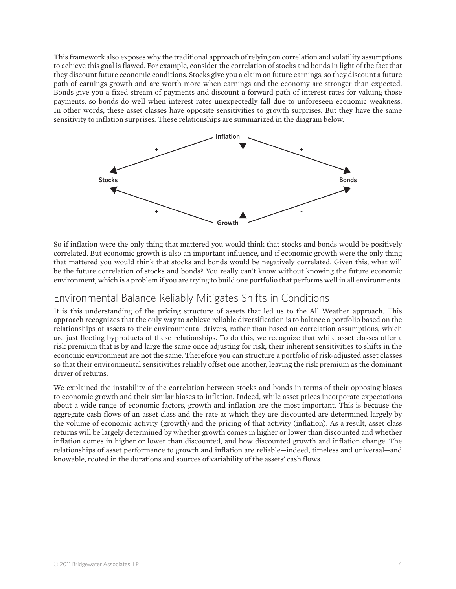This framework also exposes why the traditional approach of relying on correlation and volatility assumptions to achieve this goal is flawed. For example, consider the correlation of stocks and bonds in light of the fact that they discount future economic conditions. Stocks give you a claim on future earnings, so they discount a future path of earnings growth and are worth more when earnings and the economy are stronger than expected. Bonds give you a fixed stream of payments and discount a forward path of interest rates for valuing those payments, so bonds do well when interest rates unexpectedly fall due to unforeseen economic weakness. In other words, these asset classes have opposite sensitivities to growth surprises. But they have the same sensitivity to inflation surprises. These relationships are summarized in the diagram below.



So if inflation were the only thing that mattered you would think that stocks and bonds would be positively correlated. But economic growth is also an important influence, and if economic growth were the only thing that mattered you would think that stocks and bonds would be negatively correlated. Given this, what will be the future correlation of stocks and bonds? You really can't know without knowing the future economic environment, which is a problem if you are trying to build one portfolio that performs well in all environments.

#### Environmental Balance Reliably Mitigates Shifts in Conditions

It is this understanding of the pricing structure of assets that led us to the All Weather approach. This approach recognizes that the only way to achieve reliable diversification is to balance a portfolio based on the relationships of assets to their environmental drivers, rather than based on correlation assumptions, which are just fleeting byproducts of these relationships. To do this, we recognize that while asset classes offer a risk premium that is by and large the same once adjusting for risk, their inherent sensitivities to shifts in the economic environment are not the same. Therefore you can structure a portfolio of risk-adjusted asset classes so that their environmental sensitivities reliably offset one another, leaving the risk premium as the dominant driver of returns.

We explained the instability of the correlation between stocks and bonds in terms of their opposing biases to economic growth and their similar biases to inflation. Indeed, while asset prices incorporate expectations about a wide range of economic factors, growth and inflation are the most important. This is because the aggregate cash flows of an asset class and the rate at which they are discounted are determined largely by the volume of economic activity (growth) and the pricing of that activity (inflation). As a result, asset class returns will be largely determined by whether growth comes in higher or lower than discounted and whether inflation comes in higher or lower than discounted, and how discounted growth and inflation change. The relationships of asset performance to growth and inflation are reliable—indeed, timeless and universal—and knowable, rooted in the durations and sources of variability of the assets' cash flows.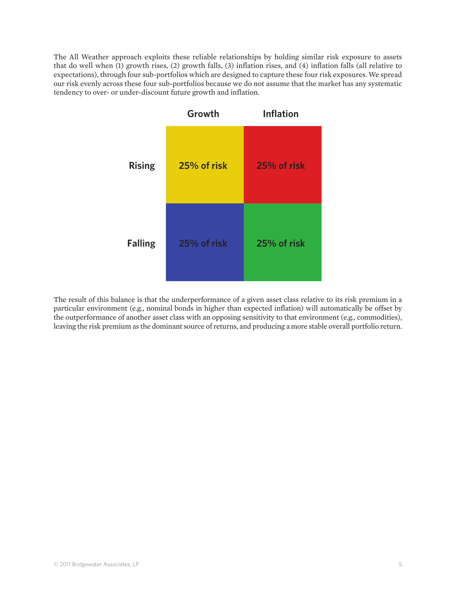The All Weather approach exploits these reliable relationships by holding similar risk exposure to assets that do well when (1) growth rises, (2) growth falls, (3) inflation rises, and (4) inflation falls (all relative to expectations), through four sub-portfolios which are designed to capture these four risk exposures. We spread our risk evenly across these four sub-portfolios because we do not assume that the market has any systematic tendency to over- or under-discount future growth and inflation.



The result of this balance is that the underperformance of a given asset class relative to its risk premium in a particular environment (e.g., nominal bonds in higher than expected inflation) will automatically be offset by the outperformance of another asset class with an opposing sensitivity to that environment (e.g., commodities), leaving the risk premium as the dominant source of returns, and producing a more stable overall portfolio return.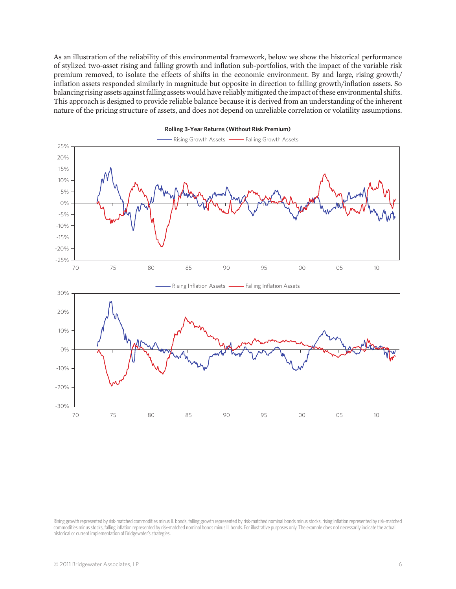As an illustration of the reliability of this environmental framework, below we show the historical performance of stylized two-asset rising and falling growth and inflation sub-portfolios, with the impact of the variable risk premium removed, to isolate the effects of shifts in the economic environment. By and large, rising growth/ inflation assets responded similarly in magnitude but opposite in direction to falling growth/inflation assets. So balancing rising assets against falling assets would have reliably mitigated the impact of these environmental shifts. This approach is designed to provide reliable balance because it is derived from an understanding of the inherent nature of the pricing structure of assets, and does not depend on unreliable correlation or volatility assumptions.



**Rolling 3-Year Returns (Without Risk Premium)**

Rising growth represented by risk-matched commodities minus IL bonds, falling growth represented by risk-matched nominal bonds minus stocks, rising inflation represented by risk-matched commodities minus stocks, falling inflation represented by risk-matched nominal bonds minus IL bonds. For illustrative purposes only. The example does not necessarily indicate the actual historical or current implementation of Bridgewater's strategies.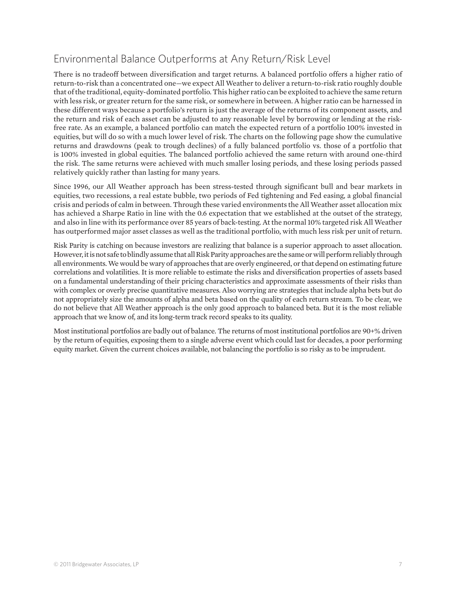### Environmental Balance Outperforms at Any Return/Risk Level

There is no tradeoff between diversification and target returns. A balanced portfolio offers a higher ratio of return-to-risk than a concentrated one—we expect All Weather to deliver a return-to-risk ratio roughly double that of the traditional, equity-dominated portfolio. This higher ratio can be exploited to achieve the same return with less risk, or greater return for the same risk, or somewhere in between. A higher ratio can be harnessed in these different ways because a portfolio's return is just the average of the returns of its component assets, and the return and risk of each asset can be adjusted to any reasonable level by borrowing or lending at the riskfree rate. As an example, a balanced portfolio can match the expected return of a portfolio 100% invested in equities, but will do so with a much lower level of risk. The charts on the following page show the cumulative returns and drawdowns (peak to trough declines) of a fully balanced portfolio vs. those of a portfolio that is 100% invested in global equities. The balanced portfolio achieved the same return with around one-third the risk. The same returns were achieved with much smaller losing periods, and these losing periods passed relatively quickly rather than lasting for many years.

Since 1996, our All Weather approach has been stress-tested through significant bull and bear markets in equities, two recessions, a real estate bubble, two periods of Fed tightening and Fed easing, a global financial crisis and periods of calm in between. Through these varied environments the All Weather asset allocation mix has achieved a Sharpe Ratio in line with the 0.6 expectation that we established at the outset of the strategy, and also in line with its performance over 85 years of back-testing. At the normal 10% targeted risk All Weather has outperformed major asset classes as well as the traditional portfolio, with much less risk per unit of return.

Risk Parity is catching on because investors are realizing that balance is a superior approach to asset allocation. However, it is not safe to blindly assume that all Risk Parity approaches are the same or will perform reliably through all environments. We would be wary of approaches that are overly engineered, or that depend on estimating future correlations and volatilities. It is more reliable to estimate the risks and diversification properties of assets based on a fundamental understanding of their pricing characteristics and approximate assessments of their risks than with complex or overly precise quantitative measures. Also worrying are strategies that include alpha bets but do not appropriately size the amounts of alpha and beta based on the quality of each return stream. To be clear, we do not believe that All Weather approach is the only good approach to balanced beta. But it is the most reliable approach that we know of, and its long-term track record speaks to its quality.

Most institutional portfolios are badly out of balance. The returns of most institutional portfolios are 90+% driven by the return of equities, exposing them to a single adverse event which could last for decades, a poor performing equity market. Given the current choices available, not balancing the portfolio is so risky as to be imprudent.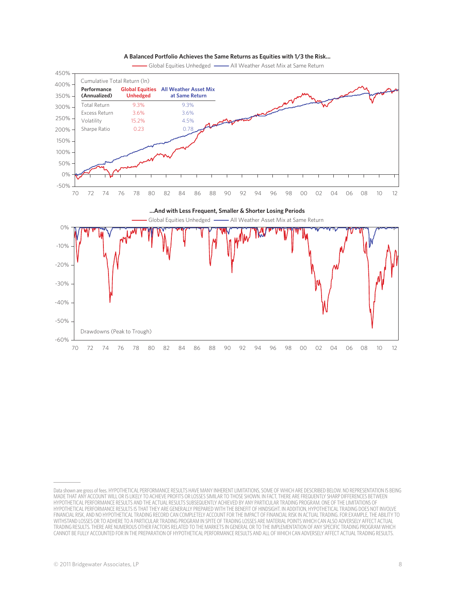



Global Equities Unhedged - All Weather Asset Mix at Same Return

Data shown are gross of fees. HYPOTHETICAL PERFORMANCE RESULTS HAVE MANY INHERENT LIMITATIONS, SOME OF WHICH ARE DESCRIBED BELOW. NO REPRESENTATION IS BEING MADE THAT ANY ACCOUNT WILL OR IS LIKELY TO ACHIEVE PROFITS OR LOSSES SIMILAR TO THOSE SHOWN. IN FACT, THERE ARE FREQUENTLY SHARP DIFFERENCES BETWEEN HYPOTHETICAL PERFORMANCE RESULTS AND THE ACTUAL RESULTS SUBSEQUENTLY ACHIEVED BY ANY PARTICULAR TRADING PROGRAM. ONE OF THE LIMITATIONS OF HYPOTHETICAL PERFORMANCE RESULTS IS THAT THEY ARE GENERALLY PREPARED WITH THE BENEFIT OF HINDSIGHT. IN ADDITION, HYPOTHETICAL TRADING DOES NOT INVOLVE FINANCIAL RISK, AND NO HYPOTHETICAL TRADING RECORD CAN COMPLETELY ACCOUNT FOR THE IMPACT OF FINANCIAL RISK IN ACTUAL TRADING. FOR EXAMPLE, THE ABILITY TO WITHSTAND LOSSES OR TO ADHERE TO A PARTICULAR TRADING PROGRAM IN SPITE OF TRADING LOSSES ARE MATERIAL POINTS WHICH CAN ALSO ADVERSELY AFFECT ACTUAL TRADING RESULTS. THERE ARE NUMEROUS OTHER FACTORS RELATED TO THE MARKETS IN GENERAL OR TO THE IMPLEMENTATION OF ANY SPECIFIC TRADING PROGRAM WHICH CANNOT BE FULLY ACCOUNTED FOR IN THE PREPARATION OF HYPOTHETICAL PERFORMANCE RESULTS AND ALL OF WHICH CAN ADVERSELY AFFECT ACTUAL TRADING RESULTS.